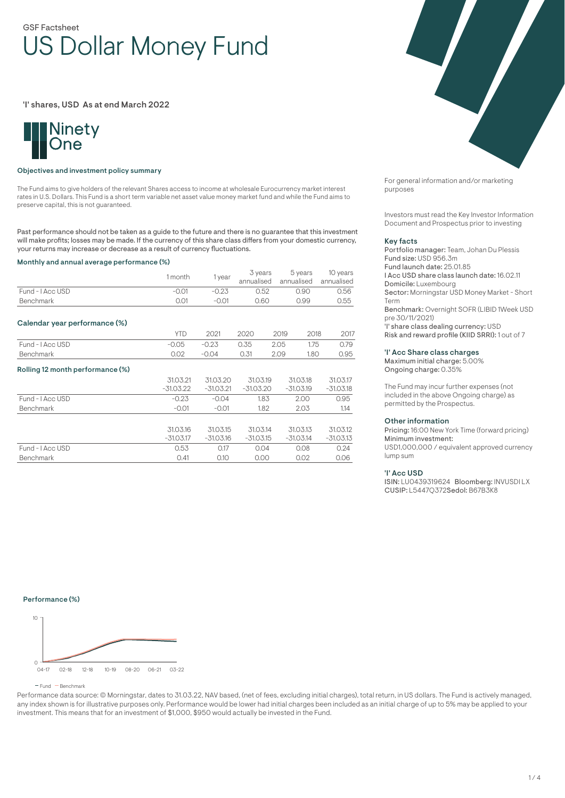# GSF Factsheet US Dollar Money Fund

'I' shares, USD As at end March 2022



## Objectives and investment policy summary

The Fund aims to give holders of the relevant Shares access to income at wholesale Eurocurrency market interest rates in U.S. Dollars. This Fund is a short term variable net asset value money market fund and while the Fund aims to preserve capital, this is not guaranteed.

Past performance should not be taken as a guide to the future and there is no guarantee that this investment will make profits; losses may be made. If the currency of this share class differs from your domestic currency, your returns may increase or decrease as a result of currency fluctuations.

#### Monthly and annual average performance (%)

|                                  | 1 month     | 1 year      | 3 years<br>annualised |      | 5 years<br>annualised | 10 years<br>annualised |
|----------------------------------|-------------|-------------|-----------------------|------|-----------------------|------------------------|
| Fund - I Acc USD                 | $-0.01$     | $-0.23$     | 0.52<br>0.90          |      |                       | 0.56                   |
| Benchmark                        | 0.01        | $-0.01$     | 0.60                  |      | 0.99                  | 0.55                   |
| Calendar year performance (%)    |             |             |                       |      |                       |                        |
|                                  | <b>YTD</b>  | 2021        | 2020                  | 2019 | 2018                  | 2017                   |
| Fund - I Acc USD                 | $-0.05$     | $-0.23$     | 0.35                  | 2.05 | 1.75                  | 0.79                   |
| <b>Benchmark</b>                 | 0.02        | $-0.04$     | 0.31                  | 2.09 | 1.80                  | 0.95                   |
| Rolling 12 month performance (%) |             |             |                       |      |                       |                        |
|                                  | 31.03.21    | 31.03.20    | 31.03.19              |      | 31.03.18              | 31.03.17               |
|                                  | $-31.03.22$ | $-31.03.21$ | $-31.03.20$           |      | $-31.03.19$           | $-31.03.18$            |
| Fund - I Acc USD                 | $-0.23$     | $-0.04$     | 1.83                  |      | 2.00                  | 0.95                   |
| <b>Benchmark</b>                 | $-0.01$     | $-0.01$     | 1.82                  |      | 2.03                  | 1.14                   |
|                                  |             |             |                       |      |                       |                        |
|                                  | 31.03.16    | 31.03.15    | 31.03.14              |      | 31.03.13              | 31.03.12               |
|                                  | $-31.03.17$ | $-31.03.16$ | $-31.03.15$           |      | $-31.03.14$           | $-31.03.13$            |
| Fund - I Acc USD                 | 0.53        | 0.17        | 0.04                  |      | 0.08                  | 0.24                   |
| <b>Benchmark</b>                 | 0.41        | 0.10        | 0.00                  |      | 0.02                  | 0.06                   |

For general information and/or marketing purposes

Investors must read the Key Investor Information Document and Prospectus prior to investing

#### Key facts

Portfolio manager: Team, Johan Du Plessis Fund size: USD 956.3m Fund launch date: 25.01.85 I Acc USD share class launch date: 16.02.11 Domicile: Luxembourg Sector: Morningstar USD Money Market - Short Term Benchmark: Overnight SOFR (LIBID 1Week USD pre 30/11/2021) 'I' share class dealing currency: USD Risk and reward profile (KIID SRRI): 1 out of 7

#### 'I' Acc Share class charges

Maximum initial charge: 5.00% Ongoing charge: 0.35%

The Fund may incur further expenses (not included in the above Ongoing charge) as permitted by the Prospectus.

#### Other information

Pricing: 16:00 New York Time (forward pricing) Minimum investment: USD1,000,000 / equivalent approved currency lump sum

#### 'I' Acc USD

ISIN: LU0439319624 Bloomberg: INVUSDI LX CUSIP: L5447Q372Sedol: B67B3K8

Performance (%)



 $F$  Fund  $B$  Benchmark

Performance data source: © Morningstar, dates to 31.03.22, NAV based, (net of fees, excluding initial charges), total return, in US dollars. The Fund is actively managed, any index shown is for illustrative purposes only. Performance would be lower had initial charges been included as an initial charge of up to 5% may be applied to your investment. This means that for an investment of \$1,000, \$950 would actually be invested in the Fund.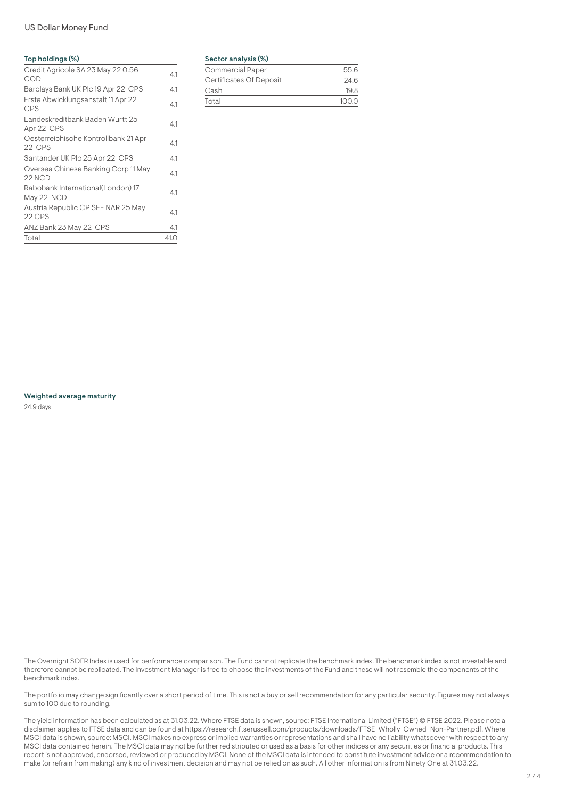# US Dollar Money Fund

## Top holdings (%)

| Credit Agricole SA 23 May 22 0.56<br>COD         | 4.1  |
|--------------------------------------------------|------|
| Barclays Bank UK Plc 19 Apr 22 CPS               | 4.1  |
| Erste Abwicklungsanstalt 11 Apr 22<br><b>CPS</b> | 4.1  |
| Landeskreditbank Baden Wurtt 25<br>Apr 22 CPS    | 4.1  |
| Oesterreichische Kontrollbank 21 Apr<br>22 CPS   | 4.1  |
| Santander UK Plc 25 Apr 22 CPS                   | 4.1  |
| Oversea Chinese Banking Corp 11 May<br>22 NCD    | 4.1  |
| Rabobank International(London) 17<br>May 22 NCD  | 4.1  |
| Austria Republic CP SEE NAR 25 May<br>22 CPS     | 4.1  |
| ANZ Bank 23 May 22 CPS                           | 4.1  |
| Total                                            | 41.0 |

## Sector analysis (%)

| <b>Commercial Paper</b> | 556  |
|-------------------------|------|
| Certificates Of Deposit | 24.6 |
| Cash                    | 19 R |
| Total                   | 1000 |

Weighted average maturity 24.9 days

The Overnight SOFR Index is used for performance comparison. The Fund cannot replicate the benchmark index. The benchmark index is not investable and therefore cannot be replicated. The Investment Manager is free to choose the investments of the Fund and these will not resemble the components of the benchmark index.

The portfolio may change significantly over a short period of time. This is not a buy or sell recommendation for any particular security. Figures may not always sum to 100 due to rounding.

The yield information has been calculated as at 31.03.22. Where FTSE data is shown, source: FTSE International Limited ("FTSE") © FTSE 2022. Please note a disclaimer applies to FTSE data and can be found at https://research.ftserussell.com/products/downloads/FTSE\_Wholly\_Owned\_Non-Partner.pdf. Where MSCI data is shown, source: MSCI. MSCI makes no express or implied warranties or representations and shall have no liability whatsoever with respect to any MSCI data contained herein. The MSCI data may not be further redistributed or used as a basis for other indices or any securities or financial products. This report is not approved, endorsed, reviewed or produced by MSCI. None of the MSCI data is intended to constitute investment advice or a recommendation to make (or refrain from making) any kind of investment decision and may not be relied on as such. All other information is from Ninety One at 31.03.22.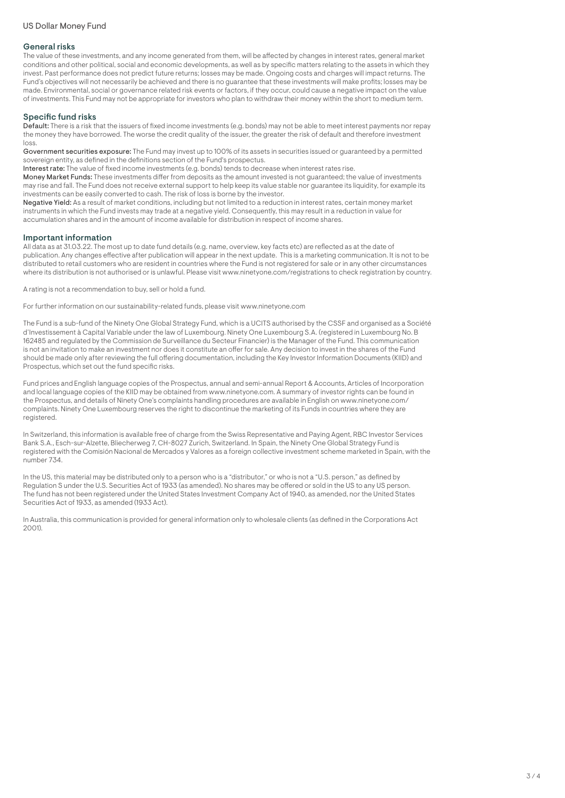## General risks

The value of these investments, and any income generated from them, will be affected by changes in interest rates, general market conditions and other political, social and economic developments, as well as by specific matters relating to the assets in which they invest. Past performance does not predict future returns; losses may be made. Ongoing costs and charges will impact returns. The Fund's objectives will not necessarily be achieved and there is no guarantee that these investments will make profits; losses may be made. Environmental, social or governance related risk events or factors, if they occur, could cause a negative impact on the value of investments. This Fund may not be appropriate for investors who plan to withdraw their money within the short to medium term.

# Specific fund risks

Default: There is a risk that the issuers of fixed income investments (e.g. bonds) may not be able to meet interest payments nor repay the money they have borrowed. The worse the credit quality of the issuer, the greater the risk of default and therefore investment loss.

Government securities exposure: The Fund may invest up to 100% of its assets in securities issued or guaranteed by a permitted sovereign entity, as defined in the definitions section of the Fund's prospectus.

Interest rate: The value of fixed income investments (e.g. bonds) tends to decrease when interest rates rise.

Money Market Funds: These investments differ from deposits as the amount invested is not guaranteed; the value of investments may rise and fall. The Fund does not receive external support to help keep its value stable nor guarantee its liquidity, for example its investments can be easily converted to cash. The risk of loss is borne by the investor.

Negative Yield: As a result of market conditions, including but not limited to a reduction in interest rates, certain money market instruments in which the Fund invests may trade at a negative yield. Consequently, this may result in a reduction in value for accumulation shares and in the amount of income available for distribution in respect of income shares.

#### Important information

All data as at 31.03.22. The most up to date fund details (e.g. name, overview, key facts etc) are reflected as at the date of publication. Any changes effective after publication will appear in the next update. This is a marketing communication. It is not to be distributed to retail customers who are resident in countries where the Fund is not registered for sale or in any other circumstances where its distribution is not authorised or is unlawful. Please visit www.ninetyone.com/registrations to check registration by country.

A rating is not a recommendation to buy, sell or hold a fund.

For further information on our sustainability-related funds, please visit www.ninetyone.com

The Fund is a sub-fund of the Ninety One Global Strategy Fund, which is a UCITS authorised by the CSSF and organised as a Société d'Investissement à Capital Variable under the law of Luxembourg. Ninety One Luxembourg S.A. (registered in Luxembourg No. B 162485 and regulated by the Commission de Surveillance du Secteur Financier) is the Manager of the Fund. This communication is not an invitation to make an investment nor does it constitute an offer for sale. Any decision to invest in the shares of the Fund should be made only after reviewing the full offering documentation, including the Key Investor Information Documents (KIID) and Prospectus, which set out the fund specific risks.

Fund prices and English language copies of the Prospectus, annual and semi-annual Report & Accounts, Articles of Incorporation and local language copies of the KIID may be obtained from www.ninetyone.com. A summary of investor rights can be found in the Prospectus, and details of Ninety One's complaints handling procedures are available in English on www.ninetyone.com/ complaints. Ninety One Luxembourg reserves the right to discontinue the marketing of its Funds in countries where they are registered.

In Switzerland, this information is available free of charge from the Swiss Representative and Paying Agent, RBC Investor Services Bank S.A., Esch-sur-Alzette, Bliecherweg 7, CH-8027 Zurich, Switzerland. In Spain, the Ninety One Global Strategy Fund is registered with the Comisión Nacional de Mercados y Valores as a foreign collective investment scheme marketed in Spain, with the number 734.

In the US, this material may be distributed only to a person who is a "distributor," or who is not a "U.S. person," as defined by Regulation S under the U.S. Securities Act of 1933 (as amended). No shares may be offered or sold in the US to any US person. The fund has not been registered under the United States Investment Company Act of 1940, as amended, nor the United States Securities Act of 1933, as amended (1933 Act).

In Australia, this communication is provided for general information only to wholesale clients (as defined in the Corporations Act  $2001$